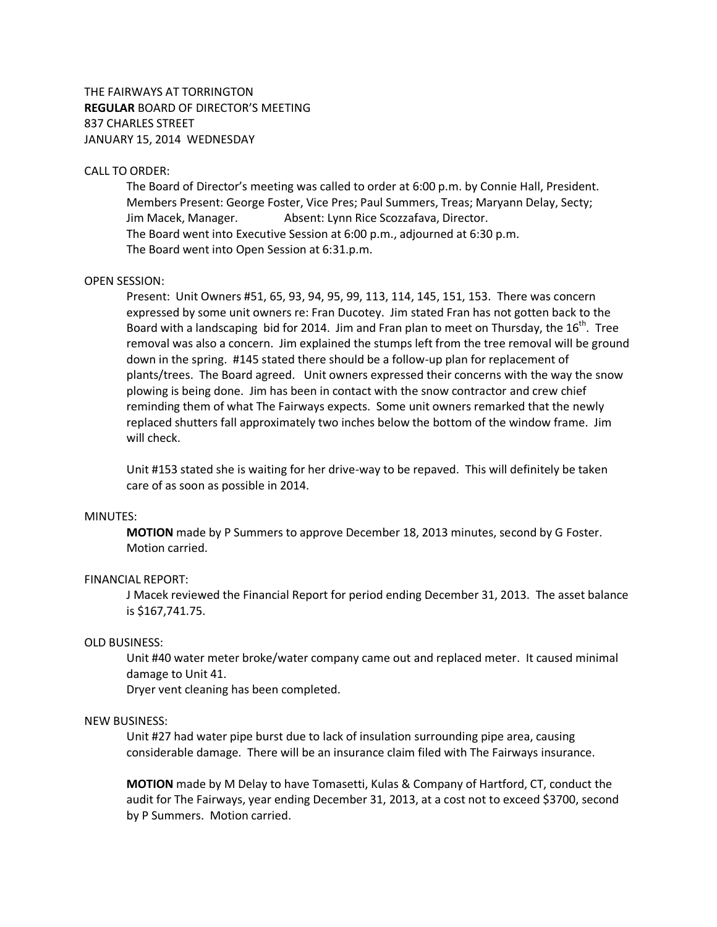THE FAIRWAYS AT TORRINGTON **REGULAR** BOARD OF DIRECTOR'S MEETING 837 CHARLES STREET JANUARY 15, 2014 WEDNESDAY

### CALL TO ORDER:

The Board of Director's meeting was called to order at 6:00 p.m. by Connie Hall, President. Members Present: George Foster, Vice Pres; Paul Summers, Treas; Maryann Delay, Secty; Jim Macek, Manager. Absent: Lynn Rice Scozzafava, Director. The Board went into Executive Session at 6:00 p.m., adjourned at 6:30 p.m. The Board went into Open Session at 6:31.p.m.

#### OPEN SESSION:

Present: Unit Owners #51, 65, 93, 94, 95, 99, 113, 114, 145, 151, 153. There was concern expressed by some unit owners re: Fran Ducotey. Jim stated Fran has not gotten back to the Board with a landscaping bid for 2014. Jim and Fran plan to meet on Thursday, the 16<sup>th</sup>. Tree removal was also a concern. Jim explained the stumps left from the tree removal will be ground down in the spring. #145 stated there should be a follow-up plan for replacement of plants/trees. The Board agreed. Unit owners expressed their concerns with the way the snow plowing is being done. Jim has been in contact with the snow contractor and crew chief reminding them of what The Fairways expects. Some unit owners remarked that the newly replaced shutters fall approximately two inches below the bottom of the window frame. Jim will check.

Unit #153 stated she is waiting for her drive-way to be repaved. This will definitely be taken care of as soon as possible in 2014.

### MINUTES:

**MOTION** made by P Summers to approve December 18, 2013 minutes, second by G Foster. Motion carried.

# FINANCIAL REPORT:

J Macek reviewed the Financial Report for period ending December 31, 2013. The asset balance is \$167,741.75.

# OLD BUSINESS:

Unit #40 water meter broke/water company came out and replaced meter. It caused minimal damage to Unit 41.

Dryer vent cleaning has been completed.

### NEW BUSINESS:

Unit #27 had water pipe burst due to lack of insulation surrounding pipe area, causing considerable damage. There will be an insurance claim filed with The Fairways insurance.

**MOTION** made by M Delay to have Tomasetti, Kulas & Company of Hartford, CT, conduct the audit for The Fairways, year ending December 31, 2013, at a cost not to exceed \$3700, second by P Summers. Motion carried.